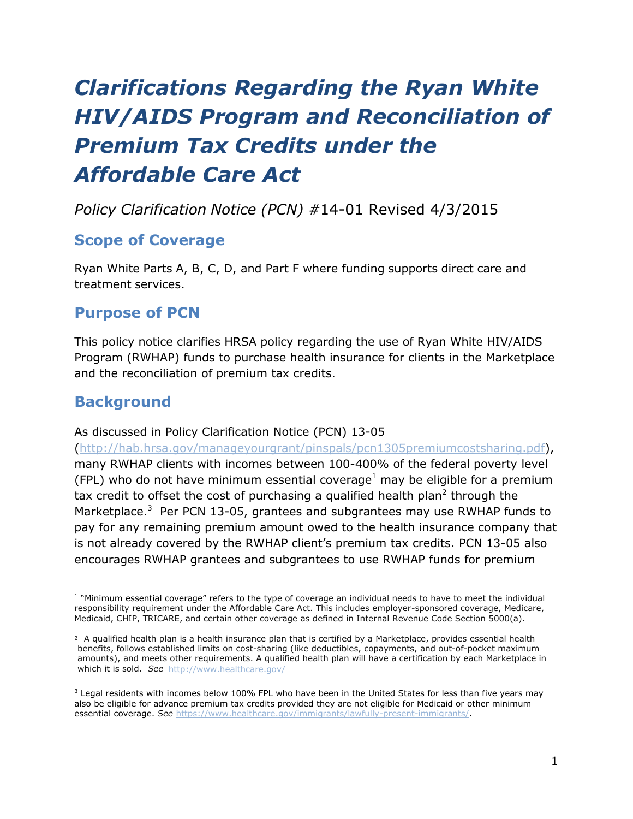# *Clarifications Regarding the Ryan White HIV/AIDS Program and Reconciliation of Premium Tax Credits under the Affordable Care Act*

### *Policy Clarification Notice (PCN) #*14-01 Revised 4/3/2015

#### **Scope of Coverage**

Ryan White Parts A, B, C, D, and Part F where funding supports direct care and treatment services.

#### **Purpose of PCN**

This policy notice clarifies HRSA policy regarding the use of Ryan White HIV/AIDS Program (RWHAP) funds to purchase health insurance for clients in the Marketplace and the reconciliation of premium tax credits.

#### **Background**

#### As discussed in Policy Clarification Notice (PCN) 13-05

[\(http://hab.hrsa.gov/manageyourgrant/pinspals/pcn1305premiumcostsharing.pdf\)](http://hab.hrsa.gov/manageyourgrant/pinspals/pcn1305premiumcostsharing.pdf), many RWHAP clients with incomes between 100-400% of the federal poverty level (FPL) who do not have minimum essential coverage<sup>1</sup> may be eligible for a premium tax credit to offset the cost of purchasing a qualified health plan<sup>2</sup> through the Marketplace. $3$  Per PCN 13-05, grantees and subgrantees may use RWHAP funds to pay for any remaining premium amount owed to the health insurance company that is not already covered by the RWHAP client's premium tax credits. PCN 13-05 also encourages RWHAP grantees and subgrantees to use RWHAP funds for premium

 $\overline{a}$ <sup>1</sup> "Minimum essential coverage" refers to the type of coverage an individual needs to have to meet the individual responsibility requirement under the Affordable Care Act. This includes employer-sponsored coverage, Medicare, Medicaid, CHIP, TRICARE, and certain other coverage as defined in Internal Revenue Code Section 5000(a).

<sup>2</sup> A qualified health plan is a health insurance plan that is certified by a Marketplace, provides essential health benefits, follows established limits on cost-sharing (like deductibles, copayments, and out-of-pocket maximum amounts), and meets other requirements. A qualified health plan will have a certification by each Marketplace in which it is sold. *See* [http://www.healthcare.gov/](http://www.healthcare.gov)

<sup>&</sup>lt;sup>3</sup> Legal residents with incomes below 100% FPL who have been in the United States for less than five years may also be eligible for advance premium tax credits provided they are not eligible for Medicaid or other minimum essential coverage. *See* [https://www.healthcare.gov/immigrants/lawfully-present-immigrants/.](https://www.healthcare.gov/immigrants/lawfully-present-immigrants/)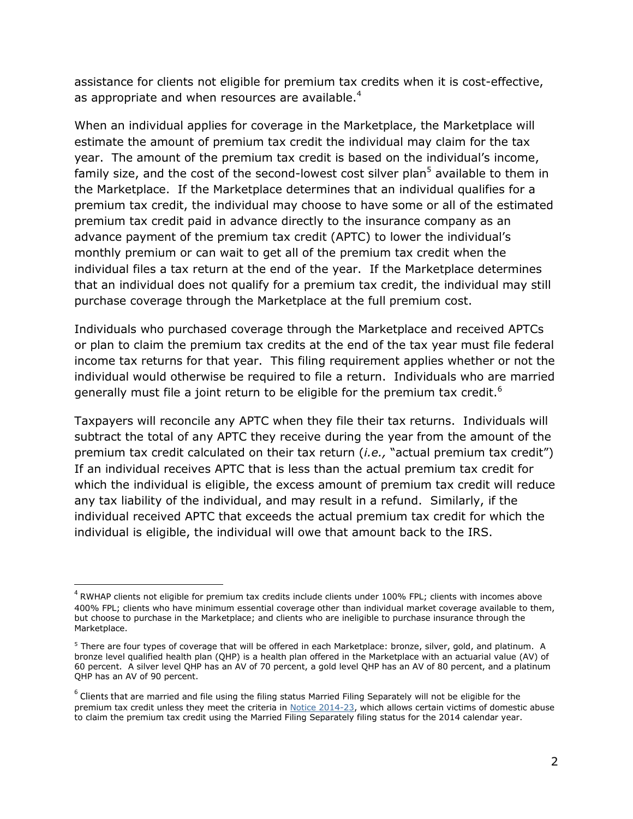assistance for clients not eligible for premium tax credits when it is cost-effective, as appropriate and when resources are available.<sup>4</sup>

When an individual applies for coverage in the Marketplace, the Marketplace will estimate the amount of premium tax credit the individual may claim for the tax year. The amount of the premium tax credit is based on the individual's income, family size, and the cost of the second-lowest cost silver plan<sup>5</sup> available to them in the Marketplace. If the Marketplace determines that an individual qualifies for a premium tax credit, the individual may choose to have some or all of the estimated premium tax credit paid in advance directly to the insurance company as an advance payment of the premium tax credit (APTC) to lower the individual's monthly premium or can wait to get all of the premium tax credit when the individual files a tax return at the end of the year. If the Marketplace determines that an individual does not qualify for a premium tax credit, the individual may still purchase coverage through the Marketplace at the full premium cost.

Individuals who purchased coverage through the Marketplace and received APTCs or plan to claim the premium tax credits at the end of the tax year must file federal income tax returns for that year. This filing requirement applies whether or not the individual would otherwise be required to file a return. Individuals who are married generally must file a joint return to be eligible for the premium tax credit.<sup>6</sup>

Taxpayers will reconcile any APTC when they file their tax returns. Individuals will subtract the total of any APTC they receive during the year from the amount of the premium tax credit calculated on their tax return (*i.e.,* "actual premium tax credit") If an individual receives APTC that is less than the actual premium tax credit for which the individual is eligible, the excess amount of premium tax credit will reduce any tax liability of the individual, and may result in a refund. Similarly, if the individual received APTC that exceeds the actual premium tax credit for which the individual is eligible, the individual will owe that amount back to the IRS.

 $\overline{a}$ 

 $^4$  RWHAP clients not eligible for premium tax credits include clients under 100% FPL; clients with incomes above 400% FPL; clients who have minimum essential coverage other than individual market coverage available to them, but choose to purchase in the Marketplace; and clients who are ineligible to purchase insurance through the Marketplace.

<sup>&</sup>lt;sup>5</sup> There are four types of coverage that will be offered in each Marketplace: bronze, silver, gold, and platinum. A bronze level qualified health plan (QHP) is a health plan offered in the Marketplace with an actuarial value (AV) of 60 percent. A silver level QHP has an AV of 70 percent, a gold level QHP has an AV of 80 percent, and a platinum QHP has an AV of 90 percent.

 $^6$  Clients that are married and file using the filing status Married Filing Separately will not be eligible for the premium tax credit unless they meet the criteria in [Notice 2014-23,](http://www.irs.gov/file_source/pub/irs-drop/n-14-23.pdf) which allows certain victims of domestic abuse to claim the premium tax credit using the Married Filing Separately filing status for the 2014 calendar year.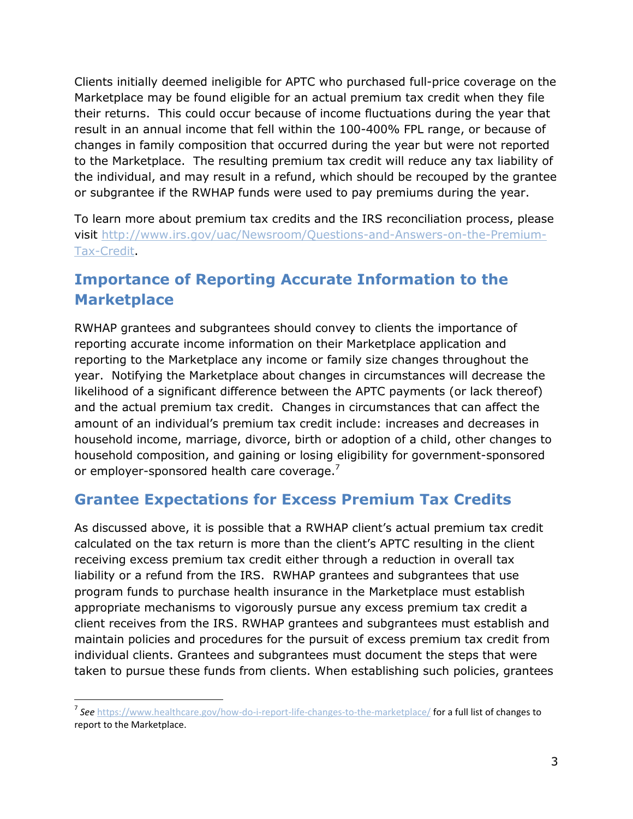Clients initially deemed ineligible for APTC who purchased full-price coverage on the Marketplace may be found eligible for an actual premium tax credit when they file their returns. This could occur because of income fluctuations during the year that result in an annual income that fell within the 100-400% FPL range, or because of changes in family composition that occurred during the year but were not reported to the Marketplace. The resulting premium tax credit will reduce any tax liability of the individual, and may result in a refund, which should be recouped by the grantee or subgrantee if the RWHAP funds were used to pay premiums during the year.

To learn more about premium tax credits and the IRS reconciliation process, please visit [http://www.irs.gov/uac/Newsroom/Questions-and-Answers-on-the-Premium-](http://www.irs.gov/uac/Newsroom/Questions-and-Answers-on-the-Premium-Tax-Credit)[Tax-Credit.](http://www.irs.gov/uac/Newsroom/Questions-and-Answers-on-the-Premium-Tax-Credit)

## **Importance of Reporting Accurate Information to the Marketplace**

RWHAP grantees and subgrantees should convey to clients the importance of reporting accurate income information on their Marketplace application and reporting to the Marketplace any income or family size changes throughout the year. Notifying the Marketplace about changes in circumstances will decrease the likelihood of a significant difference between the APTC payments (or lack thereof) and the actual premium tax credit. Changes in circumstances that can affect the amount of an individual's premium tax credit include: increases and decreases in household income, marriage, divorce, birth or adoption of a child, other changes to household composition, and gaining or losing eligibility for government-sponsored or employer-sponsored health care coverage.<sup>7</sup>

### **Grantee Expectations for Excess Premium Tax Credits**

As discussed above, it is possible that a RWHAP client's actual premium tax credit calculated on the tax return is more than the client's APTC resulting in the client receiving excess premium tax credit either through a reduction in overall tax liability or a refund from the IRS. RWHAP grantees and subgrantees that use program funds to purchase health insurance in the Marketplace must establish appropriate mechanisms to vigorously pursue any excess premium tax credit a client receives from the IRS. RWHAP grantees and subgrantees must establish and maintain policies and procedures for the pursuit of excess premium tax credit from individual clients. Grantees and subgrantees must document the steps that were taken to pursue these funds from clients. When establishing such policies, grantees

 $\overline{\phantom{a}}$ 

<sup>7</sup> *See* <https://www.healthcare.gov/how-do-i-report-life-changes-to-the-marketplace/> for a full list of changes to report to the Marketplace.